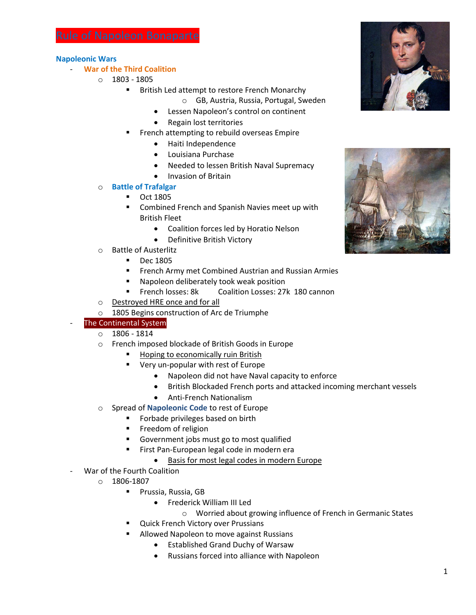# **Napoleonic Wars**

# - **War of the Third Coalition**

- $O$  1803 1805
	- **British Led attempt to restore French Monarchy** 
		- o GB, Austria, Russia, Portugal, Sweden
		- Lessen Napoleon's control on continent
		- Regain lost territories
	- French attempting to rebuild overseas Empire
		- Haiti Independence
		- Louisiana Purchase
		- Needed to lessen British Naval Supremacy
		- Invasion of Britain

# o **Battle of Trafalgar**

- **•** Oct 1805
- Combined French and Spanish Navies meet up with British Fleet
	- Coalition forces led by Horatio Nelson
	- Definitive British Victory
- o Battle of Austerlitz
	- **Dec 1805**
	- **FILM** French Army met Combined Austrian and Russian Armies
	- Napoleon deliberately took weak position
	- **FRENCH LOSSES: 8k Coalition Losses: 27k 180 cannon**
- o Destroyed HRE once and for all
- o 1805 Begins construction of Arc de Triumphe

# The Continental System

- $0 1806 1814$
- o French imposed blockade of British Goods in Europe
	- **Hoping to economically ruin British**
	- **•** Very un-popular with rest of Europe
		- Napoleon did not have Naval capacity to enforce
		- British Blockaded French ports and attacked incoming merchant vessels
		- Anti-French Nationalism
- o Spread of **Napoleonic Code** to rest of Europe
	- **Forbade privileges based on birth**
	- **Freedom of religion**
	- Government jobs must go to most qualified
	- **First Pan-European legal code in modern era** 
		- Basis for most legal codes in modern Europe
- War of the Fourth Coalition
	- $O$  1806-1807
		- **Prussia, Russia, GB** 
			- Frederick William III Led
				- o Worried about growing influence of French in Germanic States
		- Quick French Victory over Prussians
			- Allowed Napoleon to move against Russians
				- Established Grand Duchy of Warsaw
				- Russians forced into alliance with Napoleon



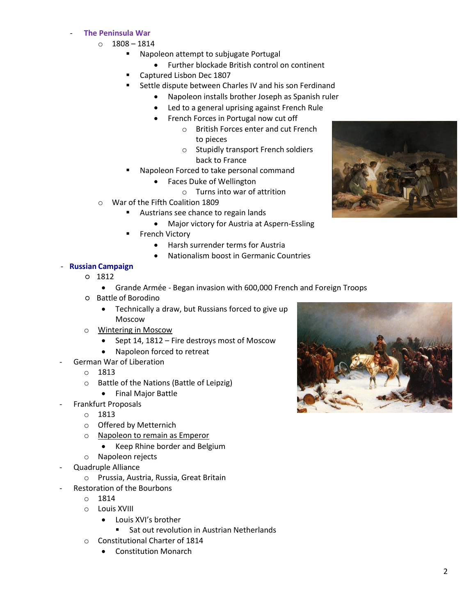# - **The Peninsula War**

- $0 1808 1814$ 
	- **Napoleon attempt to subjugate Portugal** 
		- Further blockade British control on continent
	- Captured Lisbon Dec 1807
	- **EXECTE:** Settle dispute between Charles IV and his son Ferdinand
		- Napoleon installs brother Joseph as Spanish ruler
		- Led to a general uprising against French Rule
		- French Forces in Portugal now cut off
			- o British Forces enter and cut French to pieces
			- o Stupidly transport French soldiers back to France
	- Napoleon Forced to take personal command
		- Faces Duke of Wellington
			- o Turns into war of attrition
- o War of the Fifth Coalition 1809
	- Austrians see chance to regain lands
		- Major victory for Austria at Aspern-Essling
	- French Victory
		- Harsh surrender terms for Austria
		- Nationalism boost in Germanic Countries

# - **Russian Campaign**

- 1812
	- Grande Armée Began invasion with 600,000 French and Foreign Troops
- Battle of Borodino
	- Technically a draw, but Russians forced to give up Moscow
- o Wintering in Moscow
	- Sept 14, 1812 Fire destroys most of Moscow
	- Napoleon forced to retreat
- German War of Liberation
	- o 1813
	- o Battle of the Nations (Battle of Leipzig)
	- Final Major Battle
- Frankfurt Proposals
	- o 1813
	- o Offered by Metternich
	- o Napoleon to remain as Emperor
		- Keep Rhine border and Belgium
	- o Napoleon rejects
- Quadruple Alliance
	- o Prussia, Austria, Russia, Great Britain
- Restoration of the Bourbons
	- o 1814
	- o Louis XVIII
		- Louis XVI's brother
			- **Sat out revolution in Austrian Netherlands**
	- o Constitutional Charter of 1814
		- Constitution Monarch